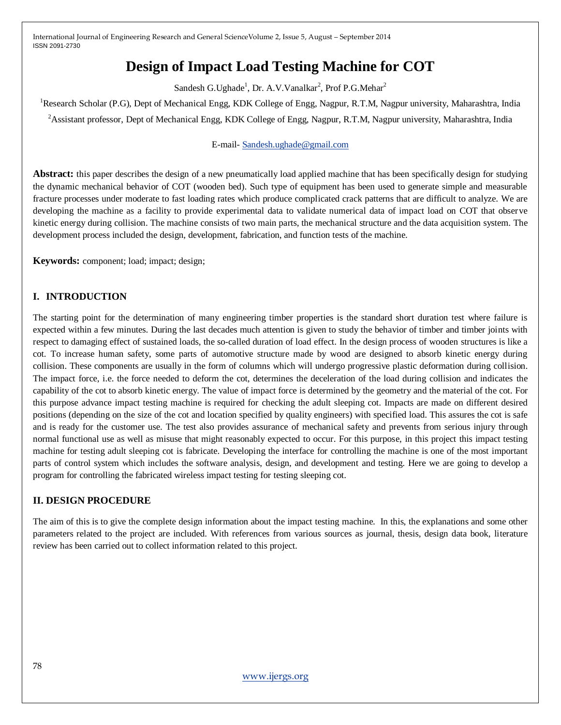# **Design of Impact Load Testing Machine for COT**

Sandesh G.Ughade<sup>1</sup>, Dr. A.V.Vanalkar<sup>2</sup>, Prof P.G.Mehar<sup>2</sup>

<sup>1</sup>Research Scholar (P.G), Dept of Mechanical Engg, KDK College of Engg, Nagpur, R.T.M, Nagpur university, Maharashtra, India <sup>2</sup> Assistant professor, Dept of Mechanical Engg, KDK College of Engg, Nagpur, R.T.M, Nagpur university, Maharashtra, India

#### E-mail- [Sandesh.ughade@gmail.com](mailto:Sandesh.ughade@gmail.com)

**Abstract:** this paper describes the design of a new pneumatically load applied machine that has been specifically design for studying the dynamic mechanical behavior of COT (wooden bed). Such type of equipment has been used to generate simple and measurable fracture processes under moderate to fast loading rates which produce complicated crack patterns that are difficult to analyze. We are developing the machine as a facility to provide experimental data to validate numerical data of impact load on COT that observe kinetic energy during collision. The machine consists of two main parts, the mechanical structure and the data acquisition system. The development process included the design, development, fabrication, and function tests of the machine.

**Keywords:** component; load; impact; design;

## **I. INTRODUCTION**

The starting point for the determination of many engineering timber properties is the standard short duration test where failure is expected within a few minutes. During the last decades much attention is given to study the behavior of timber and timber joints with respect to damaging effect of sustained loads, the so-called duration of load effect. In the design process of wooden structures is like a cot. To increase human safety, some parts of automotive structure made by wood are designed to absorb kinetic energy during collision. These components are usually in the form of columns which will undergo progressive plastic deformation during collision. The impact force, i.e. the force needed to deform the cot, determines the deceleration of the load during collision and indicates the capability of the cot to absorb kinetic energy. The value of impact force is determined by the geometry and the material of the cot. For this purpose advance impact testing machine is required for checking the adult sleeping cot. Impacts are made on different desired positions (depending on the size of the cot and location specified by quality engineers) with specified load. This assures the cot is safe and is ready for the customer use. The test also provides assurance of mechanical safety and prevents from serious injury through normal functional use as well as misuse that might reasonably expected to occur. For this purpose, in this project this impact testing machine for testing adult sleeping cot is fabricate. Developing the interface for controlling the machine is one of the most important parts of control system which includes the software analysis, design, and development and testing. Here we are going to develop a program for controlling the fabricated wireless impact testing for testing sleeping cot.

## **II. DESIGN PROCEDURE**

The aim of this is to give the complete design information about the impact testing machine. In this, the explanations and some other parameters related to the project are included. With references from various sources as journal, thesis, design data book, literature review has been carried out to collect information related to this project.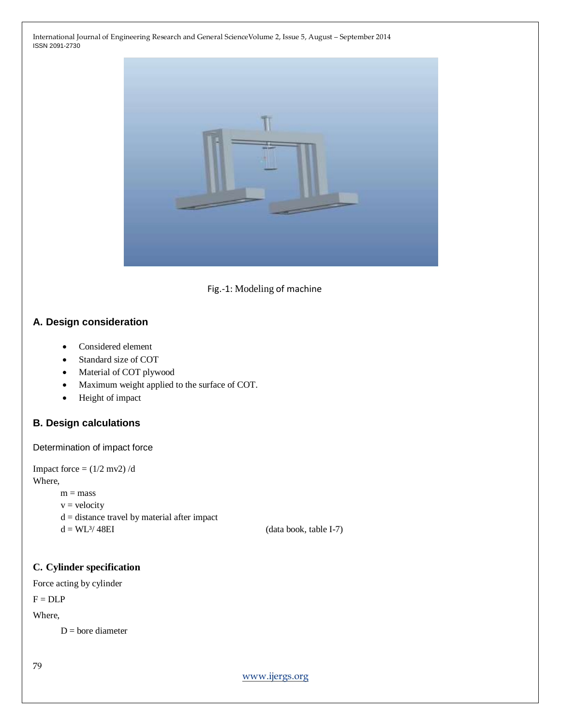



## **A. Design consideration**

- Considered element
- Standard size of COT
- Material of COT plywood
- Maximum weight applied to the surface of COT.
- Height of impact

# **B. Design calculations**

Determination of impact force

```
Impact force = (1/2 \text{ mv2})/dWhere,
       m = massv = velocityd = distance travel by material after impact
```
 $d = WL^3/48EI$  (data book, table I-7)

#### **C. Cylinder specification**

Force acting by cylinder

 $F = DLP$ 

Where,

 $D =$ bore diameter

79

[www.ijergs.org](http://www.ijergs.org/)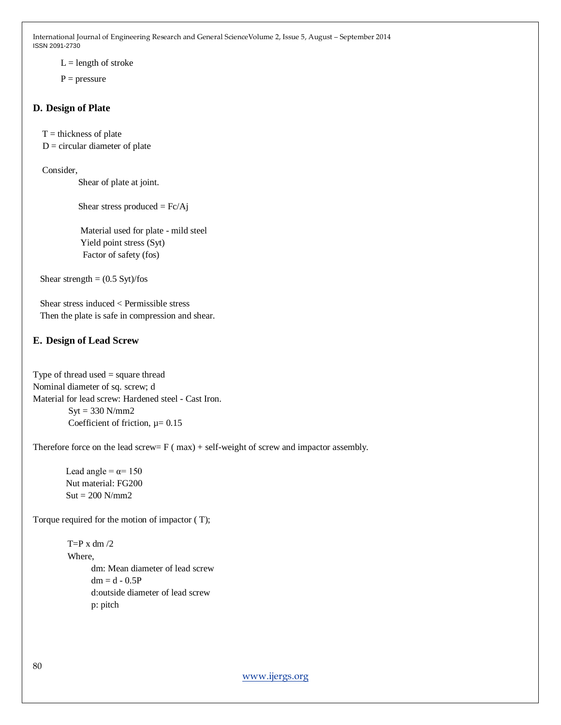$L =$  length of stroke

 $P = pressure$ 

#### **D. Design of Plate**

 $T =$  thickness of plate

 $D =$  circular diameter of plate

Consider,

Shear of plate at joint.

Shear stress produced  $=$  Fc/Aj

 Material used for plate - mild steel Yield point stress (Syt) Factor of safety (fos)

Shear strength  $= (0.5 \text{ Syt})/\text{fos}$ 

 Shear stress induced < Permissible stress Then the plate is safe in compression and shear.

## **E. Design of Lead Screw**

Type of thread used = square thread Nominal diameter of sq. screw; d Material for lead screw: Hardened steel - Cast Iron.  $Syt = 330 N/mm2$ Coefficient of friction,  $\mu$  = 0.15

Therefore force on the lead screw=  $F$  ( $max$ ) + self-weight of screw and impactor assembly.

Lead angle =  $\alpha$ = 150 Nut material: FG200  $Sut = 200$  N/mm2

Torque required for the motion of impactor ( T);

 $T=$ P x dm  $/2$  Where, dm: Mean diameter of lead screw  $dm = d - 0.5P$  d:outside diameter of lead screw p: pitch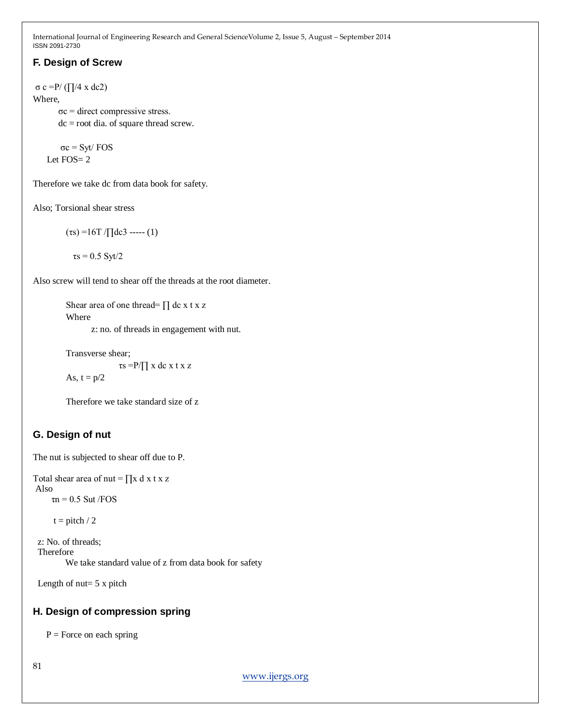# **F. Design of Screw**

σ c =P/ (∏/4 x dc2) Where,  $\sigma c$  = direct compressive stress.

dc = root dia. of square thread screw.

 σc = Syt/ FOS Let FOS= 2

Therefore we take dc from data book for safety.

Also; Torsional shear stress

(τs) =16T /∏dc3 ----- (1)

 $\tau s = 0.5$  Syt/2

Also screw will tend to shear off the threads at the root diameter.

Shear area of one thread=  $\prod$  dc x t x z Where

z: no. of threads in engagement with nut.

Transverse shear; τs =P/∏ x dc x t x z As,  $t = p/2$ 

Therefore we take standard size of z

# **G. Design of nut**

The nut is subjected to shear off due to P.

```
Total shear area of nut = \prod x dx t x z
Also 
     \tau n = 0.5 Sut /FOS
```
 $t = pitch / 2$ 

 z: No. of threads; Therefore We take standard value of z from data book for safety

Length of  $nut = 5x$  pitch

# **H. Design of compression spring**

 $P =$  Force on each spring

81

[www.ijergs.org](http://www.ijergs.org/)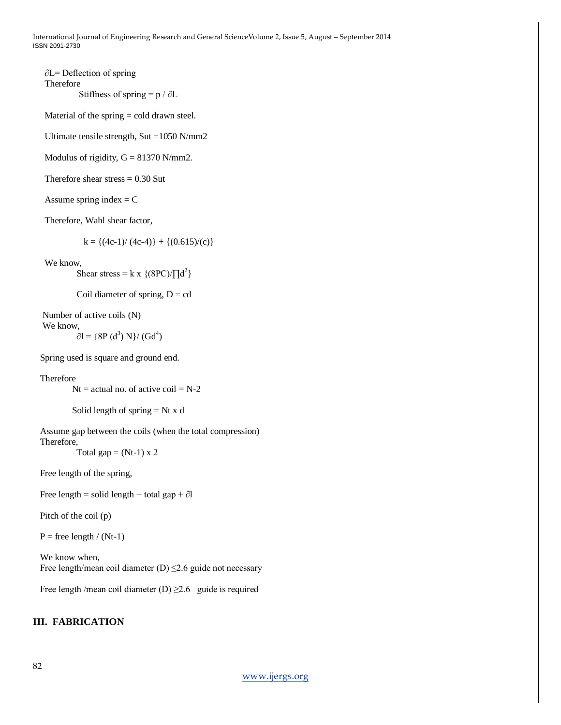∂L= Deflection of spring Therefore Stiffness of spring =  $p / \partial L$ 

Material of the spring = cold drawn steel.

Ultimate tensile strength, Sut =1050 N/mm2

Modulus of rigidity,  $G = 81370$  N/mm2.

Therefore shear stress  $= 0.30$  Sut

Assume spring index  $= C$ 

Therefore, Wahl shear factor,

 $k = \{(4c-1)/(4c-4)\} + \{(0.615)/(c)\}$ 

We know,

Shear stress = k x {(8PC)/ $\prod d^2$ }

Coil diameter of spring,  $D = cd$ 

 Number of active coils (N) We know,

$$
\partial l = \{8P(d^3) N\} / (Gd^4)
$$

Spring used is square and ground end.

Therefore

 $Nt = actual$  no. of active coil = N-2

```
Solid length of spring = Nt x d
```
 Assume gap between the coils (when the total compression) Therefore,

Total gap =  $(Nt-1)$  x 2

Free length of the spring,

Free length = solid length + total gap +  $\partial$ l

Pitch of the coil (p)

 $P =$  free length / (Nt-1)

 We know when, Free length/mean coil diameter  $(D) \le 2.6$  guide not necessary

Free length /mean coil diameter (D)  $\geq$  2.6 guide is required

#### **III. FABRICATION**